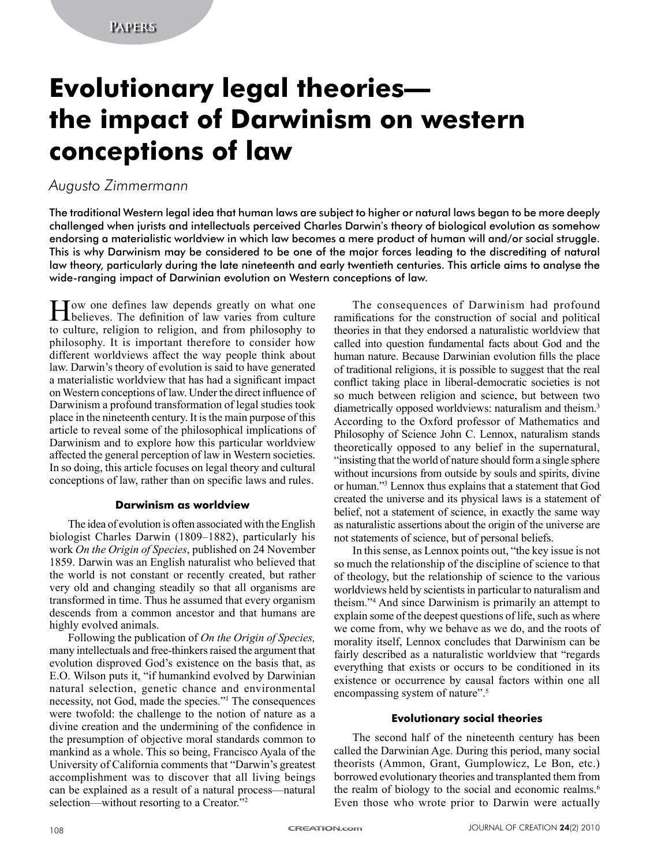# **Evolutionary legal theories the impact of Darwinism on western conceptions of law**

## *Augusto Zimmermann*

The traditional Western legal idea that human laws are subject to higher or natural laws began to be more deeply challenged when jurists and intellectuals perceived Charles Darwin's theory of biological evolution as somehow endorsing a materialistic worldview in which law becomes a mere product of human will and/or social struggle. This is why Darwinism may be considered to be one of the major forces leading to the discrediting of natural law theory, particularly during the late nineteenth and early twentieth centuries. This article aims to analyse the wide-ranging impact of Darwinian evolution on Western conceptions of law.

How one defines law depends greatly on what one believes. The definition of law varies from culture to culture, religion to religion, and from philosophy to philosophy. It is important therefore to consider how different worldviews affect the way people think about law. Darwin's theory of evolution is said to have generated a materialistic worldview that has had a significant impact on Western conceptions of law. Under the direct influence of Darwinism a profound transformation of legal studies took place in the nineteenth century. It is the main purpose of this article to reveal some of the philosophical implications of Darwinism and to explore how this particular worldview affected the general perception of law in Western societies. In so doing, this article focuses on legal theory and cultural conceptions of law, rather than on specific laws and rules.

## **Darwinism as worldview**

The idea of evolution is often associated with the English biologist Charles Darwin (1809–1882), particularly his work *On the Origin of Species*, published on 24 November 1859. Darwin was an English naturalist who believed that the world is not constant or recently created, but rather very old and changing steadily so that all organisms are transformed in time. Thus he assumed that every organism descends from a common ancestor and that humans are highly evolved animals.

Following the publication of *On the Origin of Species,*  many intellectuals and free-thinkers raised the argument that evolution disproved God's existence on the basis that, as E.O. Wilson puts it, "if humankind evolved by Darwinian natural selection, genetic chance and environmental necessity, not God, made the species."<sup>1</sup> The consequences were twofold: the challenge to the notion of nature as a divine creation and the undermining of the confidence in the presumption of objective moral standards common to mankind as a whole. This so being, Francisco Ayala of the University of California comments that "Darwin's greatest accomplishment was to discover that all living beings can be explained as a result of a natural process—natural selection—without resorting to a Creator."<sup>2</sup>

The consequences of Darwinism had profound ramifications for the construction of social and political theories in that they endorsed a naturalistic worldview that called into question fundamental facts about God and the human nature. Because Darwinian evolution fills the place of traditional religions, it is possible to suggest that the real conflict taking place in liberal-democratic societies is not so much between religion and science, but between two diametrically opposed worldviews: naturalism and theism.<sup>3</sup> According to the Oxford professor of Mathematics and Philosophy of Science John C. Lennox, naturalism stands theoretically opposed to any belief in the supernatural, "insisting that the world of nature should form a single sphere without incursions from outside by souls and spirits, divine or human."<sup>3</sup> Lennox thus explains that a statement that God created the universe and its physical laws is a statement of belief, not a statement of science, in exactly the same way as naturalistic assertions about the origin of the universe are not statements of science, but of personal beliefs.

In this sense, as Lennox points out, "the key issue is not so much the relationship of the discipline of science to that of theology, but the relationship of science to the various worldviews held by scientists in particular to naturalism and theism."4 And since Darwinism is primarily an attempt to explain some of the deepest questions of life, such as where we come from, why we behave as we do, and the roots of morality itself, Lennox concludes that Darwinism can be fairly described as a naturalistic worldview that "regards everything that exists or occurs to be conditioned in its existence or occurrence by causal factors within one all encompassing system of nature".<sup>5</sup>

## **Evolutionary social theories**

The second half of the nineteenth century has been called the Darwinian Age. During this period, many social theorists (Ammon, Grant, Gumplowicz, Le Bon, etc.) borrowed evolutionary theories and transplanted them from the realm of biology to the social and economic realms.<sup>6</sup> Even those who wrote prior to Darwin were actually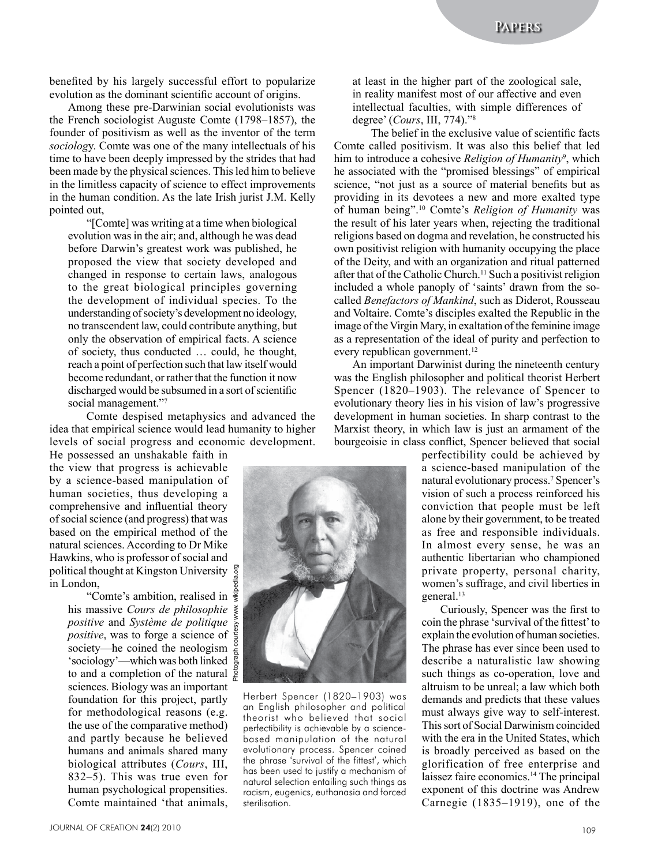benefited by his largely successful effort to popularize evolution as the dominant scientific account of origins.

Among these pre-Darwinian social evolutionists was the French sociologist Auguste Comte (1798–1857), the founder of positivism as well as the inventor of the term *sociolog*y. Comte was one of the many intellectuals of his time to have been deeply impressed by the strides that had been made by the physical sciences. This led him to believe in the limitless capacity of science to effect improvements in the human condition. As the late Irish jurist J.M. Kelly pointed out,

"[Comte] was writing at a time when biological evolution was in the air; and, although he was dead before Darwin's greatest work was published, he proposed the view that society developed and changed in response to certain laws, analogous to the great biological principles governing the development of individual species. To the understanding of society's development no ideology, no transcendent law, could contribute anything, but only the observation of empirical facts. A science of society, thus conducted … could, he thought, reach a point of perfection such that law itself would become redundant, or rather that the function it now discharged would be subsumed in a sort of scientific social management."7

Comte despised metaphysics and advanced the idea that empirical science would lead humanity to higher levels of social progress and economic development.

He possessed an unshakable faith in the view that progress is achievable by a science-based manipulation of human societies, thus developing a comprehensive and influential theory of social science (and progress) that was based on the empirical method of the natural sciences. According to Dr Mike Hawkins, who is professor of social and political thought at Kingston University in London,

"Comte's ambition, realised in his massive *Cours de philosophie positive* and *Système de politique positive*, was to forge a science of society—he coined the neologism 'sociology'—which was both linked to and a completion of the natural  $\frac{1}{2}$ sciences. Biology was an important foundation for this project, partly for methodological reasons (e.g. the use of the comparative method) and partly because he believed humans and animals shared many biological attributes (*Cours*, III, 832–5). This was true even for human psychological propensities. Comte maintained 'that animals,

at least in the higher part of the zoological sale, in reality manifest most of our affective and even intellectual faculties, with simple differences of degree' (*Cours*, III, 774)."<sup>8</sup>

The belief in the exclusive value of scientific facts Comte called positivism. It was also this belief that led him to introduce a cohesive *Religion of Humanity*<sup>9</sup>, which he associated with the "promised blessings" of empirical science, "not just as a source of material benefits but as providing in its devotees a new and more exalted type of human being".<sup>10</sup> Comte's *Religion of Humanity* was the result of his later years when, rejecting the traditional religions based on dogma and revelation, he constructed his own positivist religion with humanity occupying the place of the Deity, and with an organization and ritual patterned after that of the Catholic Church.<sup>11</sup> Such a positivist religion included a whole panoply of 'saints' drawn from the socalled *Benefactors of Mankind*, such as Diderot, Rousseau and Voltaire. Comte's disciples exalted the Republic in the image of the Virgin Mary, in exaltation of the feminine image as a representation of the ideal of purity and perfection to every republican government.<sup>12</sup>

An important Darwinist during the nineteenth century was the English philosopher and political theorist Herbert Spencer (1820–1903). The relevance of Spencer to evolutionary theory lies in his vision of law's progressive development in human societies. In sharp contrast to the Marxist theory, in which law is just an armament of the bourgeoisie in class conflict, Spencer believed that social

> perfectibility could be achieved by a science-based manipulation of the natural evolutionary process.7 Spencer's vision of such a process reinforced his conviction that people must be left alone by their government, to be treated as free and responsible individuals. In almost every sense, he was an authentic libertarian who championed private property, personal charity, women's suffrage, and civil liberties in general.<sup>13</sup>

> Curiously, Spencer was the first to coin the phrase 'survival of the fittest' to explain the evolution of human societies. The phrase has ever since been used to describe a naturalistic law showing such things as co-operation, love and altruism to be unreal; a law which both demands and predicts that these values must always give way to self-interest. This sort of Social Darwinism coincided with the era in the United States, which is broadly perceived as based on the glorification of free enterprise and laissez faire economics.14 The principal exponent of this doctrine was Andrew Carnegie (1835–1919), one of the



Herbert Spencer (1820–1903) was an English philosopher and political theorist who believed that social perfectibility is achievable by a sciencebased manipulation of the natural evolutionary process. Spencer coined the phrase 'survival of the fittest', which has been used to justify a mechanism of natural selection entailing such things as racism, eugenics, euthanasia and forced sterilisation.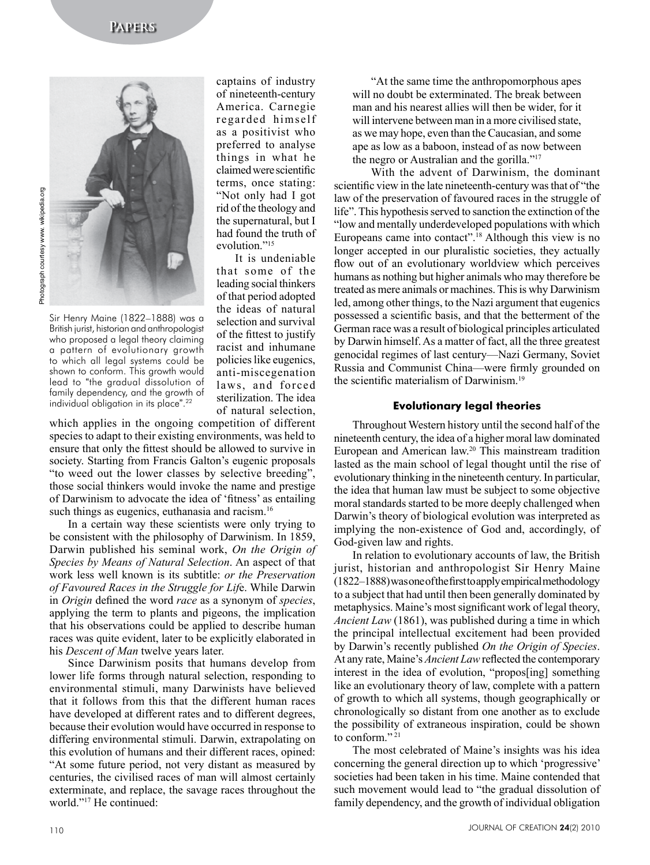

Sir Henry Maine (1822–1888) was a British jurist, historian and anthropologist who proposed a legal theory claiming a pattern of evolutionary growth to which all legal systems could be shown to conform. This growth would lead to "the gradual dissolution of family dependency, and the growth of individual obligation in its place". 22

captains of industry of nineteenth-century America. Carnegie regarded himself as a positivist who preferred to analyse things in what he claimed were scientific terms, once stating: "Not only had I got rid of the theology and the supernatural, but I had found the truth of evolution."<sup>15</sup>

It is undeniable that some of the leading social thinkers of that period adopted the ideas of natural selection and survival of the fittest to justify racist and inhumane policies like eugenics, anti-miscegenation laws, and forced sterilization. The idea of natural selection,

which applies in the ongoing competition of different species to adapt to their existing environments, was held to ensure that only the fittest should be allowed to survive in society. Starting from Francis Galton's eugenic proposals "to weed out the lower classes by selective breeding", those social thinkers would invoke the name and prestige of Darwinism to advocate the idea of 'fitness' as entailing such things as eugenics, euthanasia and racism.<sup>16</sup>

In a certain way these scientists were only trying to be consistent with the philosophy of Darwinism. In 1859, Darwin published his seminal work, *On the Origin of Species by Means of Natural Selection*. An aspect of that work less well known is its subtitle: *or the Preservation of Favoured Races in the Struggle for Lif*e. While Darwin in *Origin* defined the word *race* as a synonym of *species*, applying the term to plants and pigeons, the implication that his observations could be applied to describe human races was quite evident, later to be explicitly elaborated in his *Descent of Man* twelve years later.

Since Darwinism posits that humans develop from lower life forms through natural selection, responding to environmental stimuli, many Darwinists have believed that it follows from this that the different human races have developed at different rates and to different degrees, because their evolution would have occurred in response to differing environmental stimuli. Darwin, extrapolating on this evolution of humans and their different races, opined: "At some future period, not very distant as measured by centuries, the civilised races of man will almost certainly exterminate, and replace, the savage races throughout the world."17 He continued:

"At the same time the anthropomorphous apes will no doubt be exterminated. The break between man and his nearest allies will then be wider, for it will intervene between man in a more civilised state. as we may hope, even than the Caucasian, and some ape as low as a baboon, instead of as now between the negro or Australian and the gorilla."17

With the advent of Darwinism, the dominant scientific view in the late nineteenth-century was that of "the law of the preservation of favoured races in the struggle of life". This hypothesis served to sanction the extinction of the "low and mentally underdeveloped populations with which Europeans came into contact".<sup>18</sup> Although this view is no longer accepted in our pluralistic societies, they actually flow out of an evolutionary worldview which perceives humans as nothing but higher animals who may therefore be treated as mere animals or machines. This is why Darwinism led, among other things, to the Nazi argument that eugenics possessed a scientific basis, and that the betterment of the German race was a result of biological principles articulated by Darwin himself. As a matter of fact, all the three greatest genocidal regimes of last century—Nazi Germany, Soviet Russia and Communist China—were firmly grounded on the scientific materialism of Darwinism.<sup>19</sup>

## **Evolutionary legal theories**

Throughout Western history until the second half of the nineteenth century, the idea of a higher moral law dominated European and American law.<sup>20</sup> This mainstream tradition lasted as the main school of legal thought until the rise of evolutionary thinking in the nineteenth century. In particular, the idea that human law must be subject to some objective moral standards started to be more deeply challenged when Darwin's theory of biological evolution was interpreted as implying the non-existence of God and, accordingly, of God-given law and rights.

In relation to evolutionary accounts of law, the British jurist, historian and anthropologist Sir Henry Maine (1822–1888) was one of the first to apply empirical methodology to a subject that had until then been generally dominated by metaphysics. Maine's most significant work of legal theory, *Ancient Law* (1861), was published during a time in which the principal intellectual excitement had been provided by Darwin's recently published *On the Origin of Species*. At any rate, Maine's *Ancient Law* reflected the contemporary interest in the idea of evolution, "propos[ing] something like an evolutionary theory of law, complete with a pattern of growth to which all systems, though geographically or chronologically so distant from one another as to exclude the possibility of extraneous inspiration, could be shown to conform."<sup>21</sup>

The most celebrated of Maine's insights was his idea concerning the general direction up to which 'progressive' societies had been taken in his time. Maine contended that such movement would lead to "the gradual dissolution of family dependency, and the growth of individual obligation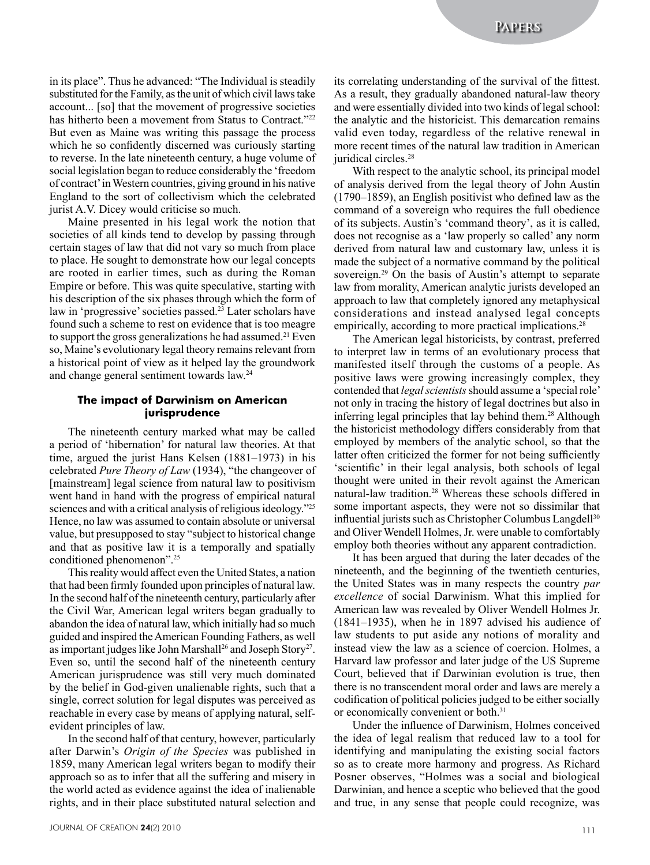in its place". Thus he advanced: "The Individual is steadily substituted for the Family, as the unit of which civil laws take account... [so] that the movement of progressive societies has hitherto been a movement from Status to Contract."<sup>22</sup> But even as Maine was writing this passage the process which he so confidently discerned was curiously starting to reverse. In the late nineteenth century, a huge volume of social legislation began to reduce considerably the 'freedom of contract' in Western countries, giving ground in his native England to the sort of collectivism which the celebrated jurist A.V. Dicey would criticise so much.

Maine presented in his legal work the notion that societies of all kinds tend to develop by passing through certain stages of law that did not vary so much from place to place. He sought to demonstrate how our legal concepts are rooted in earlier times, such as during the Roman Empire or before. This was quite speculative, starting with his description of the six phases through which the form of law in 'progressive' societies passed.<sup>23</sup> Later scholars have found such a scheme to rest on evidence that is too meagre to support the gross generalizations he had assumed.<sup>21</sup> Even so, Maine's evolutionary legal theory remains relevant from a historical point of view as it helped lay the groundwork and change general sentiment towards law.24

#### **The impact of Darwinism on American jurisprudence**

The nineteenth century marked what may be called a period of 'hibernation' for natural law theories. At that time, argued the jurist Hans Kelsen (1881–1973) in his celebrated *Pure Theory of Law* (1934), "the changeover of [mainstream] legal science from natural law to positivism went hand in hand with the progress of empirical natural sciences and with a critical analysis of religious ideology."<sup>25</sup> Hence, no law was assumed to contain absolute or universal value, but presupposed to stay "subject to historical change and that as positive law it is a temporally and spatially conditioned phenomenon".<sup>25</sup>

This reality would affect even the United States, a nation that had been firmly founded upon principles of natural law. In the second half of the nineteenth century, particularly after the Civil War, American legal writers began gradually to abandon the idea of natural law, which initially had so much guided and inspired the American Founding Fathers, as well as important judges like John Marshall<sup>26</sup> and Joseph Story<sup>27</sup>. Even so, until the second half of the nineteenth century American jurisprudence was still very much dominated by the belief in God-given unalienable rights, such that a single, correct solution for legal disputes was perceived as reachable in every case by means of applying natural, selfevident principles of law.

In the second half of that century, however, particularly after Darwin's *Origin of the Species* was published in 1859, many American legal writers began to modify their approach so as to infer that all the suffering and misery in the world acted as evidence against the idea of inalienable rights, and in their place substituted natural selection and

its correlating understanding of the survival of the fittest. As a result, they gradually abandoned natural-law theory and were essentially divided into two kinds of legal school: the analytic and the historicist. This demarcation remains valid even today, regardless of the relative renewal in more recent times of the natural law tradition in American juridical circles.<sup>28</sup>

With respect to the analytic school, its principal model of analysis derived from the legal theory of John Austin (1790–1859), an English positivist who defined law as the command of a sovereign who requires the full obedience of its subjects. Austin's 'command theory', as it is called, does not recognise as a 'law properly so called' any norm derived from natural law and customary law, unless it is made the subject of a normative command by the political sovereign.<sup>29</sup> On the basis of Austin's attempt to separate law from morality, American analytic jurists developed an approach to law that completely ignored any metaphysical considerations and instead analysed legal concepts empirically, according to more practical implications.<sup>28</sup>

The American legal historicists, by contrast, preferred to interpret law in terms of an evolutionary process that manifested itself through the customs of a people. As positive laws were growing increasingly complex, they contended that *legal scientists* should assume a 'special role' not only in tracing the history of legal doctrines but also in inferring legal principles that lay behind them.<sup>28</sup> Although the historicist methodology differs considerably from that employed by members of the analytic school, so that the latter often criticized the former for not being sufficiently 'scientific' in their legal analysis, both schools of legal thought were united in their revolt against the American natural-law tradition.<sup>28</sup> Whereas these schools differed in some important aspects, they were not so dissimilar that influential jurists such as Christopher Columbus Langdell<sup>30</sup> and Oliver Wendell Holmes, Jr. were unable to comfortably employ both theories without any apparent contradiction.

It has been argued that during the later decades of the nineteenth, and the beginning of the twentieth centuries, the United States was in many respects the country *par excellence* of social Darwinism. What this implied for American law was revealed by Oliver Wendell Holmes Jr. (1841–1935), when he in 1897 advised his audience of law students to put aside any notions of morality and instead view the law as a science of coercion. Holmes, a Harvard law professor and later judge of the US Supreme Court, believed that if Darwinian evolution is true, then there is no transcendent moral order and laws are merely a codification of political policies judged to be either socially or economically convenient or both.<sup>31</sup>

Under the influence of Darwinism, Holmes conceived the idea of legal realism that reduced law to a tool for identifying and manipulating the existing social factors so as to create more harmony and progress. As Richard Posner observes, "Holmes was a social and biological Darwinian, and hence a sceptic who believed that the good and true, in any sense that people could recognize, was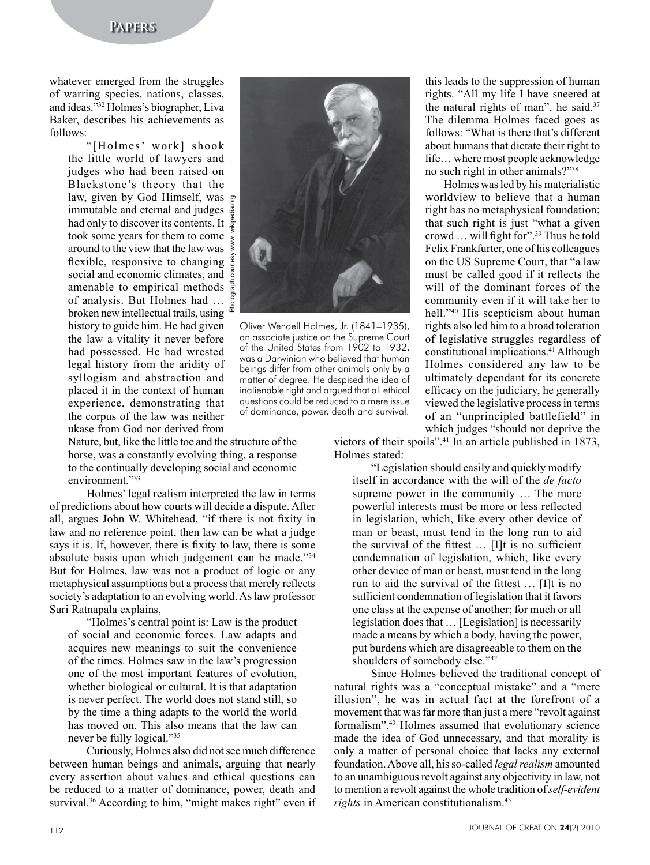## **Papers**

whatever emerged from the struggles of warring species, nations, classes, and ideas."<sup>32</sup> Holmes's biographer, Liva Baker, describes his achievements as follows:

> "[Holmes' work] shook the little world of lawyers and judges who had been raised on Blackstone's theory that the law, given by God Himself, was immutable and eternal and judges had only to discover its contents. It took some years for them to come around to the view that the law was flexible, responsive to changing social and economic climates, and amenable to empirical methods of analysis. But Holmes had … broken new intellectual trails, using history to guide him. He had given the law a vitality it never before had possessed. He had wrested legal history from the aridity of syllogism and abstraction and placed it in the context of human experience, demonstrating that the corpus of the law was neither ukase from God nor derived from

Nature, but, like the little toe and the structure of the horse, was a constantly evolving thing, a response to the continually developing social and economic environment."33

Holmes' legal realism interpreted the law in terms of predictions about how courts will decide a dispute. After all, argues John W. Whitehead, "if there is not fixity in law and no reference point, then law can be what a judge says it is. If, however, there is fixity to law, there is some absolute basis upon which judgement can be made."34 But for Holmes, law was not a product of logic or any metaphysical assumptions but a process that merely reflects society's adaptation to an evolving world. As law professor Suri Ratnapala explains,

"Holmes's central point is: Law is the product of social and economic forces. Law adapts and acquires new meanings to suit the convenience of the times. Holmes saw in the law's progression one of the most important features of evolution, whether biological or cultural. It is that adaptation is never perfect. The world does not stand still, so by the time a thing adapts to the world the world has moved on. This also means that the law can never be fully logical."<sup>35</sup>

Curiously, Holmes also did not see much difference between human beings and animals, arguing that nearly every assertion about values and ethical questions can be reduced to a matter of dominance, power, death and survival.<sup>36</sup> According to him, "might makes right" even if



Oliver Wendell Holmes, Jr. (1841–1935), an associate justice on the Supreme Court of the United States from 1902 to 1932, was a Darwinian who believed that human beings differ from other animals only by a matter of degree. He despised the idea of inalienable right and argued that all ethical questions could be reduced to a mere issue of dominance, power, death and survival.

this leads to the suppression of human rights. "All my life I have sneered at the natural rights of man", he said.<sup>37</sup> The dilemma Holmes faced goes as follows: "What is there that's different about humans that dictate their right to life… where most people acknowledge no such right in other animals?"<sup>38</sup>

Holmes was led by his materialistic worldview to believe that a human right has no metaphysical foundation; that such right is just "what a given crowd … will fight for".<sup>39</sup> Thus he told Felix Frankfurter, one of his colleagues on the US Supreme Court, that "a law must be called good if it reflects the will of the dominant forces of the community even if it will take her to hell."<sup>40</sup> His scepticism about human rights also led him to a broad toleration of legislative struggles regardless of constitutional implications.41 Although Holmes considered any law to be ultimately dependant for its concrete efficacy on the judiciary, he generally viewed the legislative process in terms of an "unprincipled battlefield" in which judges "should not deprive the

victors of their spoils".41 In an article published in 1873, Holmes stated:

"Legislation should easily and quickly modify itself in accordance with the will of the *de facto*  supreme power in the community … The more powerful interests must be more or less reflected in legislation, which, like every other device of man or beast, must tend in the long run to aid the survival of the fittest … [I]t is no sufficient condemnation of legislation, which, like every other device of man or beast, must tend in the long run to aid the survival of the fittest … [I]t is no sufficient condemnation of legislation that it favors one class at the expense of another; for much or all legislation does that … [Legislation] is necessarily made a means by which a body, having the power, put burdens which are disagreeable to them on the shoulders of somebody else."42

Since Holmes believed the traditional concept of natural rights was a "conceptual mistake" and a "mere illusion", he was in actual fact at the forefront of a movement that was far more than just a mere "revolt against formalism".43 Holmes assumed that evolutionary science made the idea of God unnecessary, and that morality is only a matter of personal choice that lacks any external foundation. Above all, his so-called *legal realism* amounted to an unambiguous revolt against any objectivity in law, not to mention a revolt against the whole tradition of *self-evident rights* in American constitutionalism.<sup>43</sup>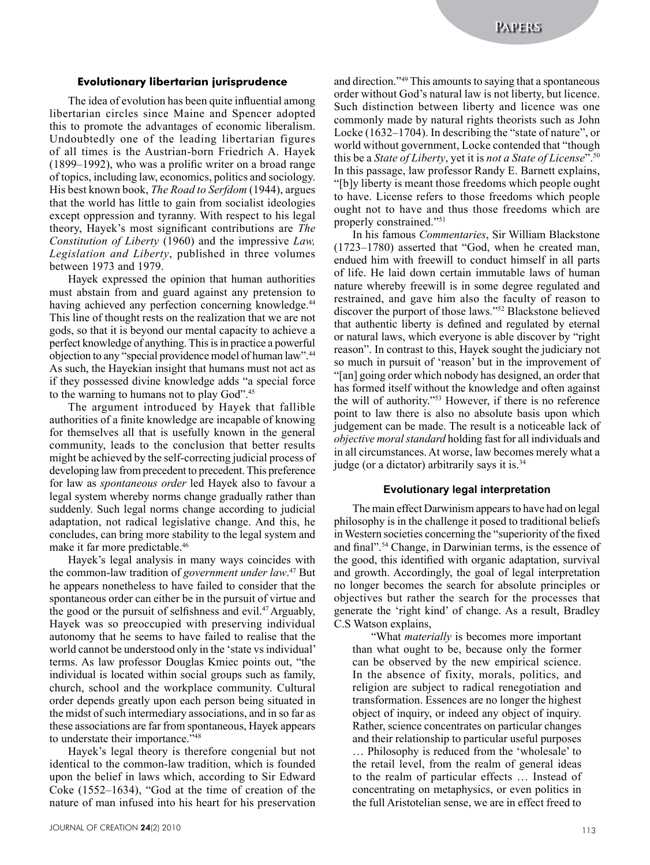#### **Evolutionary libertarian jurisprudence**

The idea of evolution has been quite influential among libertarian circles since Maine and Spencer adopted this to promote the advantages of economic liberalism. Undoubtedly one of the leading libertarian figures of all times is the Austrian-born Friedrich A. Hayek (1899–1992), who was a prolific writer on a broad range of topics, including law, economics, politics and sociology. His best known book, *The Road to Serfdom* (1944), argues that the world has little to gain from socialist ideologies except oppression and tyranny. With respect to his legal theory, Hayek's most significant contributions are *The Constitution of Liberty* (1960) and the impressive *Law, Legislation and Liberty*, published in three volumes between 1973 and 1979.

Hayek expressed the opinion that human authorities must abstain from and guard against any pretension to having achieved any perfection concerning knowledge.<sup>44</sup> This line of thought rests on the realization that we are not gods, so that it is beyond our mental capacity to achieve a perfect knowledge of anything. This is in practice a powerful objection to any "special providence model of human law".44 As such, the Hayekian insight that humans must not act as if they possessed divine knowledge adds "a special force to the warning to humans not to play God".45

The argument introduced by Hayek that fallible authorities of a finite knowledge are incapable of knowing for themselves all that is usefully known in the general community, leads to the conclusion that better results might be achieved by the self-correcting judicial process of developing law from precedent to precedent. This preference for law as *spontaneous order* led Hayek also to favour a legal system whereby norms change gradually rather than suddenly. Such legal norms change according to judicial adaptation, not radical legislative change. And this, he concludes, can bring more stability to the legal system and make it far more predictable.<sup>46</sup>

Hayek's legal analysis in many ways coincides with the common-law tradition of *government under law*. 47 But he appears nonetheless to have failed to consider that the spontaneous order can either be in the pursuit of virtue and the good or the pursuit of selfishness and evil.47 Arguably, Hayek was so preoccupied with preserving individual autonomy that he seems to have failed to realise that the world cannot be understood only in the 'state vs individual' terms. As law professor Douglas Kmiec points out, "the individual is located within social groups such as family, church, school and the workplace community. Cultural order depends greatly upon each person being situated in the midst of such intermediary associations, and in so far as these associations are far from spontaneous, Hayek appears to understate their importance."48

Hayek's legal theory is therefore congenial but not identical to the common-law tradition, which is founded upon the belief in laws which, according to Sir Edward Coke (1552–1634), "God at the time of creation of the nature of man infused into his heart for his preservation

and direction."49 This amounts to saying that a spontaneous order without God's natural law is not liberty, but licence. Such distinction between liberty and licence was one commonly made by natural rights theorists such as John Locke (1632–1704). In describing the "state of nature", or world without government, Locke contended that "though this be a *State of Liberty*, yet it is *not a State of License*".<sup>50</sup> In this passage, law professor Randy E. Barnett explains, "[b]y liberty is meant those freedoms which people ought to have. License refers to those freedoms which people ought not to have and thus those freedoms which are properly constrained."<sup>51</sup>

In his famous *Commentaries*, Sir William Blackstone (1723–1780) asserted that "God, when he created man, endued him with freewill to conduct himself in all parts of life. He laid down certain immutable laws of human nature whereby freewill is in some degree regulated and restrained, and gave him also the faculty of reason to discover the purport of those laws."<sup>52</sup> Blackstone believed that authentic liberty is defined and regulated by eternal or natural laws, which everyone is able discover by "right reason". In contrast to this, Hayek sought the judiciary not so much in pursuit of 'reason' but in the improvement of "[an] going order which nobody has designed, an order that has formed itself without the knowledge and often against the will of authority."<sup>53</sup> However, if there is no reference point to law there is also no absolute basis upon which judgement can be made. The result is a noticeable lack of *objective moral standard* holding fast for all individuals and in all circumstances. At worse, law becomes merely what a judge (or a dictator) arbitrarily says it is.34

## **Evolutionary legal interpretation**

The main effect Darwinism appears to have had on legal philosophy is in the challenge it posed to traditional beliefs in Western societies concerning the "superiority of the fixed and final".54 Change, in Darwinian terms, is the essence of the good, this identified with organic adaptation, survival and growth. Accordingly, the goal of legal interpretation no longer becomes the search for absolute principles or objectives but rather the search for the processes that generate the 'right kind' of change. As a result, Bradley C.S Watson explains,

"What *materially* is becomes more important than what ought to be, because only the former can be observed by the new empirical science. In the absence of fixity, morals, politics, and religion are subject to radical renegotiation and transformation. Essences are no longer the highest object of inquiry, or indeed any object of inquiry. Rather, science concentrates on particular changes and their relationship to particular useful purposes … Philosophy is reduced from the 'wholesale' to the retail level, from the realm of general ideas to the realm of particular effects … Instead of concentrating on metaphysics, or even politics in the full Aristotelian sense, we are in effect freed to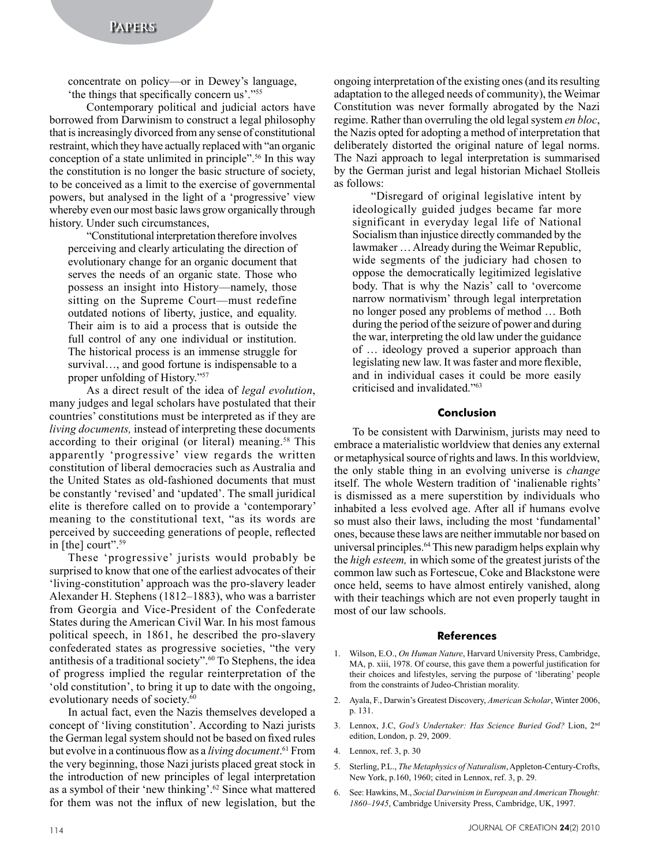concentrate on policy—or in Dewey's language, 'the things that specifically concern us'."<sup>55</sup>

Contemporary political and judicial actors have borrowed from Darwinism to construct a legal philosophy that is increasingly divorced from any sense of constitutional restraint, which they have actually replaced with "an organic conception of a state unlimited in principle".56 In this way the constitution is no longer the basic structure of society, to be conceived as a limit to the exercise of governmental powers, but analysed in the light of a 'progressive' view whereby even our most basic laws grow organically through history. Under such circumstances,

"Constitutional interpretation therefore involves perceiving and clearly articulating the direction of evolutionary change for an organic document that serves the needs of an organic state. Those who possess an insight into History—namely, those sitting on the Supreme Court—must redefine outdated notions of liberty, justice, and equality. Their aim is to aid a process that is outside the full control of any one individual or institution. The historical process is an immense struggle for survival…, and good fortune is indispensable to a proper unfolding of History."57

As a direct result of the idea of *legal evolution*, many judges and legal scholars have postulated that their countries' constitutions must be interpreted as if they are *living documents,* instead of interpreting these documents according to their original (or literal) meaning.<sup>58</sup> This apparently 'progressive' view regards the written constitution of liberal democracies such as Australia and the United States as old-fashioned documents that must be constantly 'revised' and 'updated'. The small juridical elite is therefore called on to provide a 'contemporary' meaning to the constitutional text, "as its words are perceived by succeeding generations of people, reflected in [the] court".<sup>59</sup>

These 'progressive' jurists would probably be surprised to know that one of the earliest advocates of their 'living-constitution' approach was the pro-slavery leader Alexander H. Stephens (1812–1883), who was a barrister from Georgia and Vice-President of the Confederate States during the American Civil War. In his most famous political speech, in 1861, he described the pro-slavery confederated states as progressive societies, "the very antithesis of a traditional society".<sup>60</sup> To Stephens, the idea of progress implied the regular reinterpretation of the 'old constitution', to bring it up to date with the ongoing, evolutionary needs of society.<sup>60</sup>

In actual fact, even the Nazis themselves developed a concept of 'living constitution'. According to Nazi jurists the German legal system should not be based on fixed rules but evolve in a continuous flow as a *living document*. <sup>61</sup> From the very beginning, those Nazi jurists placed great stock in the introduction of new principles of legal interpretation as a symbol of their 'new thinking'.<sup>62</sup> Since what mattered for them was not the influx of new legislation, but the

ongoing interpretation of the existing ones (and its resulting adaptation to the alleged needs of community), the Weimar Constitution was never formally abrogated by the Nazi regime. Rather than overruling the old legal system *en bloc*, the Nazis opted for adopting a method of interpretation that deliberately distorted the original nature of legal norms. The Nazi approach to legal interpretation is summarised by the German jurist and legal historian Michael Stolleis as follows:

"Disregard of original legislative intent by ideologically guided judges became far more significant in everyday legal life of National Socialism than injustice directly commanded by the lawmaker … Already during the Weimar Republic, wide segments of the judiciary had chosen to oppose the democratically legitimized legislative body. That is why the Nazis' call to 'overcome narrow normativism' through legal interpretation no longer posed any problems of method … Both during the period of the seizure of power and during the war, interpreting the old law under the guidance of … ideology proved a superior approach than legislating new law. It was faster and more flexible, and in individual cases it could be more easily criticised and invalidated."<sup>63</sup>

## **Conclusion**

To be consistent with Darwinism, jurists may need to embrace a materialistic worldview that denies any external or metaphysical source of rights and laws. In this worldview, the only stable thing in an evolving universe is *change* itself. The whole Western tradition of 'inalienable rights' is dismissed as a mere superstition by individuals who inhabited a less evolved age. After all if humans evolve so must also their laws, including the most 'fundamental' ones, because these laws are neither immutable nor based on universal principles.<sup>64</sup> This new paradigm helps explain why the *high esteem,* in which some of the greatest jurists of the common law such as Fortescue, Coke and Blackstone were once held, seems to have almost entirely vanished, along with their teachings which are not even properly taught in most of our law schools.

#### **References**

- 1. Wilson, E.O., *On Human Nature*, Harvard University Press, Cambridge, MA, p. xiii, 1978. Of course, this gave them a powerful justification for their choices and lifestyles, serving the purpose of 'liberating' people from the constraints of Judeo-Christian morality.
- 2. Ayala, F., Darwin's Greatest Discovery, *American Scholar*, Winter 2006, p. 131.
- 3. Lennox, J.C, *God's Undertaker: Has Science Buried God?* Lion, 2nd edition, London, p. 29, 2009.
- 4. Lennox, ref. 3, p. 30
- 5. Sterling, P.L., *The Metaphysics of Naturalism*, Appleton-Century-Crofts, New York, p.160, 1960; cited in Lennox, ref. 3, p. 29.
- 6. See: Hawkins, M., *Social Darwinism in European and American Thought: 1860–1945*, Cambridge University Press, Cambridge, UK, 1997.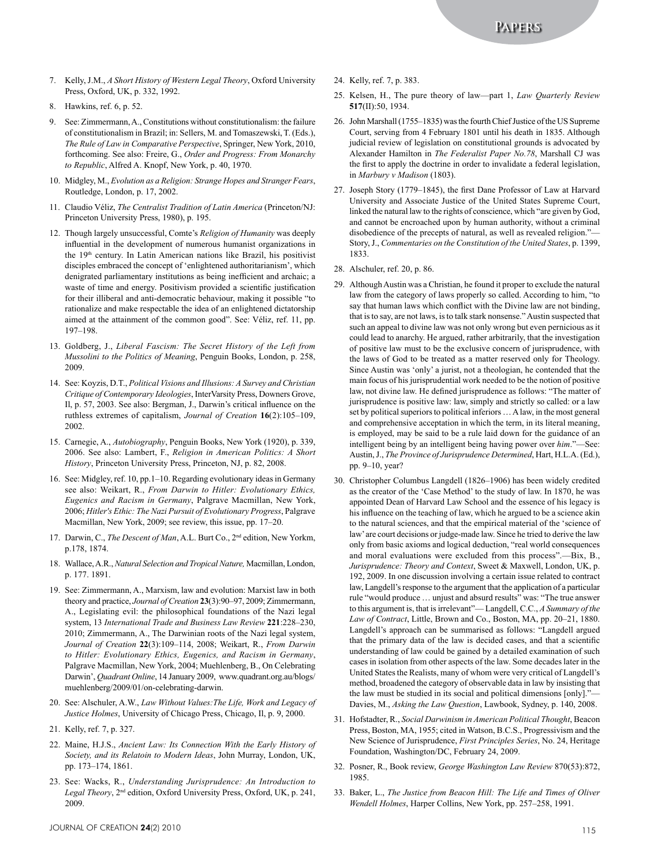**Papers**

- 7. Kelly, J.M., *A Short History of Western Legal Theory*, Oxford University Press, Oxford, UK, p. 332, 1992.
- 8. Hawkins, ref. 6, p. 52.
- 9. See: Zimmermann, A., Constitutions without constitutionalism: the failure of constitutionalism in Brazil; in: Sellers, M. and Tomaszewski, T. (Eds.), *The Rule of Law in Comparative Perspective*, Springer, New York, 2010, forthcoming. See also: Freire, G., *Order and Progress: From Monarchy to Republic*, Alfred A. Knopf, New York, p. 40, 1970.
- 10. Midgley, M., *Evolution as a Religion: Strange Hopes and Stranger Fears*, Routledge, London, p. 17, 2002.
- 11. Claudio Véliz, *The Centralist Tradition of Latin America* (Princeton/NJ: Princeton University Press, 1980), p. 195.
- 12. Though largely unsuccessful, Comte's *Religion of Humanity* was deeply influential in the development of numerous humanist organizations in the 19<sup>th</sup> century. In Latin American nations like Brazil, his positivist disciples embraced the concept of 'enlightened authoritarianism', which denigrated parliamentary institutions as being inefficient and archaic; a waste of time and energy. Positivism provided a scientific justification for their illiberal and anti-democratic behaviour, making it possible "to rationalize and make respectable the idea of an enlightened dictatorship aimed at the attainment of the common good". See: Véliz, ref. 11, pp. 197–198.
- 13. Goldberg, J., *Liberal Fascism: The Secret History of the Left from Mussolini to the Politics of Meaning*, Penguin Books, London, p. 258, 2009.
- 14. See: Koyzis, D.T., *Political Visions and Illusions: A Survey and Christian Critique of Contemporary Ideologies*, InterVarsity Press, Downers Grove, Il, p. 57, 2003. See also: Bergman, J., Darwin's critical influence on the ruthless extremes of capitalism, *Journal of Creation* **16**(2):105–109, 2002.
- 15. Carnegie, A., *Autobiography*, Penguin Books, New York (1920), p. 339, 2006. See also: Lambert, F., *Religion in American Politics: A Short History*, Princeton University Press, Princeton, NJ, p. 82, 2008.
- 16. See: Midgley, ref. 10, pp.1–10. Regarding evolutionary ideas in Germany see also: Weikart, R., *From Darwin to Hitler: Evolutionary Ethics, Eugenics and Racism in Germany*, Palgrave Macmillan, New York, 2006; *Hitler's Ethic: The Nazi Pursuit of Evolutionary Progress*, Palgrave Macmillan, New York, 2009; see review, this issue, pp. 17–20.
- 17. Darwin, C., *The Descent of Man*, A.L. Burt Co., 2nd edition, New Yorkm, p.178, 1874.
- 18. Wallace, A.R., *Natural Selection and Tropical Nature,* Macmillan, London, p. 177. 1891.
- 19. See: Zimmermann, A., Marxism, law and evolution: Marxist law in both theory and practice, *Journal of Creation* **23**(3):90–97, 2009; Zimmermann, A., Legislating evil: the philosophical foundations of the Nazi legal system, 13 *International Trade and Business Law Review* **221**:228–230, 2010; Zimmermann, A., The Darwinian roots of the Nazi legal system, *Journal of Creation* **22**(3):109–114, 2008; Weikart, R., *From Darwin to Hitler: Evolutionary Ethics, Eugenics, and Racism in Germany*, Palgrave Macmillan, New York, 2004; Muehlenberg, B., On Celebrating Darwin', *Quadrant Online*, 14 January 2009, www.quadrant.org.au/blogs/ muehlenberg/2009/01/on-celebrating-darwin.
- 20. See: Alschuler, A.W., *Law Without Values:The Life, Work and Legacy of Justice Holmes*, University of Chicago Press, Chicago, Il, p. 9, 2000.
- 21. Kelly, ref. 7, p. 327.
- 22. Maine, H.J.S., *Ancient Law: Its Connection With the Early History of Society, and its Relatoin to Modern Ideas*, John Murray, London, UK, pp. 173–174, 1861.
- 23. See: Wacks, R., *Understanding Jurisprudence: An Introduction to Legal Theory*, 2nd edition, Oxford University Press, Oxford, UK, p. 241, 2009.
- 24. Kelly, ref. 7, p. 383.
- 25. Kelsen, H., The pure theory of law—part 1, *Law Quarterly Review* **517**(II):50, 1934.
- 26. John Marshall (1755–1835) was the fourth Chief Justice of the US Supreme Court, serving from 4 February 1801 until his death in 1835. Although judicial review of legislation on constitutional grounds is advocated by Alexander Hamilton in *The Federalist Paper No.78*, Marshall CJ was the first to apply the doctrine in order to invalidate a federal legislation, in *Marbury v Madison* (1803).
- 27. Joseph Story (1779–1845), the first Dane Professor of Law at Harvard University and Associate Justice of the United States Supreme Court, linked the natural law to the rights of conscience, which "are given by God, and cannot be encroached upon by human authority, without a criminal disobedience of the precepts of natural, as well as revealed religion."— Story, J., *Commentaries on the Constitution of the United States*, p. 1399, 1833.
- 28. Alschuler, ref. 20, p. 86.
- 29. Although Austin was a Christian, he found it proper to exclude the natural law from the category of laws properly so called. According to him, "to say that human laws which conflict with the Divine law are not binding, that is to say, are not laws, is to talk stark nonsense." Austin suspected that such an appeal to divine law was not only wrong but even pernicious as it could lead to anarchy. He argued, rather arbitrarily, that the investigation of positive law must to be the exclusive concern of jurisprudence, with the laws of God to be treated as a matter reserved only for Theology. Since Austin was 'only' a jurist, not a theologian, he contended that the main focus of his jurisprudential work needed to be the notion of positive law, not divine law. He defined jurisprudence as follows: "The matter of jurisprudence is positive law: law, simply and strictly so called: or a law set by political superiors to political inferiors … A law, in the most general and comprehensive acceptation in which the term, in its literal meaning, is employed, may be said to be a rule laid down for the guidance of an intelligent being by an intelligent being having power over *him*."—See: Austin, J., *The Province of Jurisprudence Determined*, Hart, H.L.A. (Ed.), pp. 9–10, year?
- 30. Christopher Columbus Langdell (1826–1906) has been widely credited as the creator of the 'Case Method' to the study of law. In 1870, he was appointed Dean of Harvard Law School and the essence of his legacy is his influence on the teaching of law, which he argued to be a science akin to the natural sciences, and that the empirical material of the 'science of law' are court decisions or judge-made law. Since he tried to derive the law only from basic axioms and logical deduction, "real world consequences and moral evaluations were excluded from this process".—Bix, B., *Jurisprudence: Theory and Context*, Sweet & Maxwell, London, UK, p. 192, 2009. In one discussion involving a certain issue related to contract law, Langdell's response to the argument that the application of a particular rule "would produce … unjust and absurd results" was: "The true answer to this argument is, that is irrelevant"— Langdell, C.C., *A Summary of the Law of Contract*, Little, Brown and Co., Boston, MA, pp. 20–21, 1880. Langdell's approach can be summarised as follows: "Langdell argued that the primary data of the law is decided cases, and that a scientific understanding of law could be gained by a detailed examination of such cases in isolation from other aspects of the law. Some decades later in the United States the Realists, many of whom were very critical of Langdell's method, broadened the category of observable data in law by insisting that the law must be studied in its social and political dimensions [only]."— Davies, M., *Asking the Law Question*, Lawbook, Sydney, p. 140, 2008.
- 31. Hofstadter, R., *Social Darwinism in American Political Thought*, Beacon Press, Boston, MA, 1955; cited in Watson, B.C.S., Progressivism and the New Science of Jurisprudence, *First Principles Series*, No. 24, Heritage Foundation, Washington/DC, February 24, 2009.
- 32. Posner, R., Book review, *George Washington Law Review* 870(53):872, 1985.
- 33. Baker, L., *The Justice from Beacon Hill: The Life and Times of Oliver Wendell Holmes*, Harper Collins, New York, pp. 257–258, 1991.